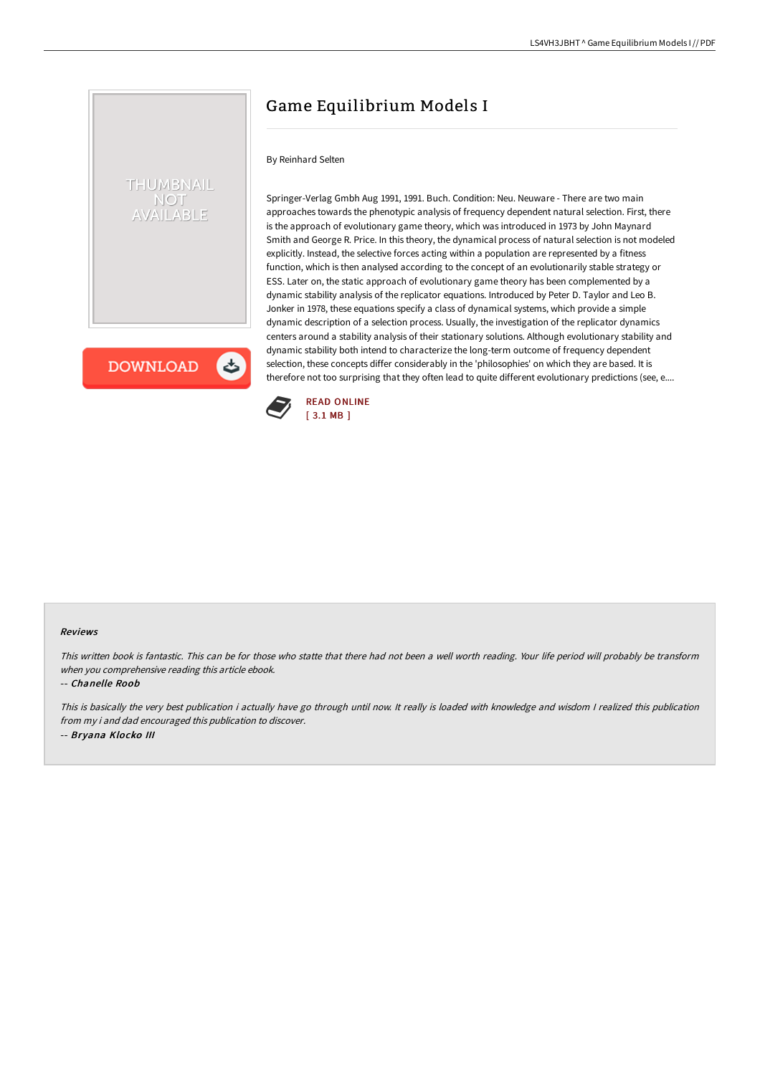# THUMBNAIL **NOT**

と

**AILABLE** 

**DOWNLOAD** 

Springer-Verlag Gmbh Aug 1991, 1991. Buch. Condition: Neu. Neuware - There are two main approaches towards the phenotypic analysis of frequency dependent natural selection. First, there is the approach of evolutionary game theory, which was introduced in 1973 by John Maynard Smith and George R. Price. In this theory, the dynamical process of natural selection is not modeled explicitly. Instead, the selective forces acting within a population are represented by a fitness function, which is then analysed according to the concept of an evolutionarily stable strategy or ESS. Later on, the static approach of evolutionary game theory has been complemented by a dynamic stability analysis of the replicator equations. Introduced by Peter D. Taylor and Leo B. Jonker in 1978, these equations specify a class of dynamical systems, which provide a simple dynamic description of a selection process. Usually, the investigation of the replicator dynamics centers around a stability analysis of their stationary solutions. Although evolutionary stability and dynamic stability both intend to characterize the long-term outcome of frequency dependent selection, these concepts differ considerably in the 'philosophies' on which they are based. It is therefore not too surprising that they often lead to quite different evolutionary predictions (see, e....



By Reinhard Selten

#### Reviews

This written book is fantastic. This can be for those who statte that there had not been <sup>a</sup> well worth reading. Your life period will probably be transform when you comprehensive reading this article ebook.

Game Equilibrium Models I

-- Chanelle Roob

This is basically the very best publication i actually have go through until now. It really is loaded with knowledge and wisdom I realized this publication from my i and dad encouraged this publication to discover. -- Bryana Klocko III